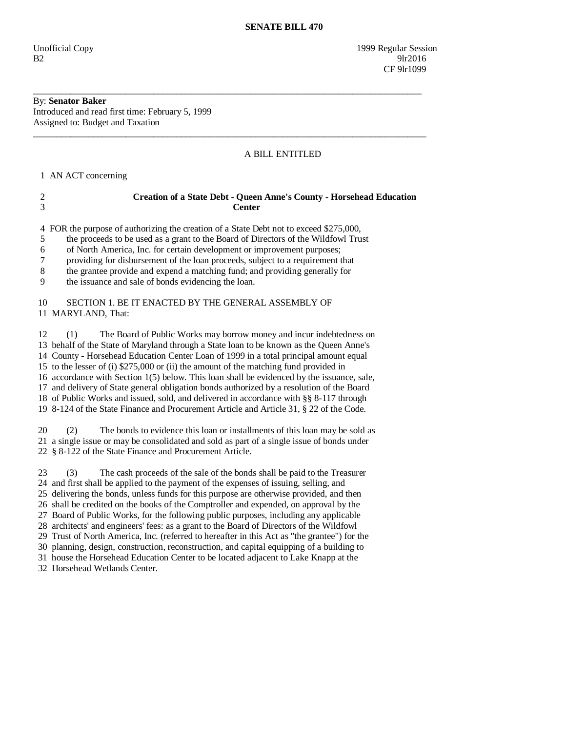Unofficial Copy 1999 Regular Session  $B2 \t\t 91r2016$ CF 9lr1099

# By: **Senator Baker**

Introduced and read first time: February 5, 1999 Assigned to: Budget and Taxation

### A BILL ENTITLED

1 AN ACT concerning

## 2 **Creation of a State Debt - Queen Anne's County - Horsehead Education**  3 **Center**

\_\_\_\_\_\_\_\_\_\_\_\_\_\_\_\_\_\_\_\_\_\_\_\_\_\_\_\_\_\_\_\_\_\_\_\_\_\_\_\_\_\_\_\_\_\_\_\_\_\_\_\_\_\_\_\_\_\_\_\_\_\_\_\_\_\_\_\_\_\_\_\_\_\_\_\_\_\_\_\_\_\_\_\_

\_\_\_\_\_\_\_\_\_\_\_\_\_\_\_\_\_\_\_\_\_\_\_\_\_\_\_\_\_\_\_\_\_\_\_\_\_\_\_\_\_\_\_\_\_\_\_\_\_\_\_\_\_\_\_\_\_\_\_\_\_\_\_\_\_\_\_\_\_\_\_\_\_\_\_\_\_\_\_\_\_\_\_\_\_

4 FOR the purpose of authorizing the creation of a State Debt not to exceed \$275,000,

5 the proceeds to be used as a grant to the Board of Directors of the Wildfowl Trust

6 of North America, Inc. for certain development or improvement purposes;

7 providing for disbursement of the loan proceeds, subject to a requirement that

8 the grantee provide and expend a matching fund; and providing generally for

9 the issuance and sale of bonds evidencing the loan.

#### 10 SECTION 1. BE IT ENACTED BY THE GENERAL ASSEMBLY OF 11 MARYLAND, That:

 12 (1) The Board of Public Works may borrow money and incur indebtedness on 13 behalf of the State of Maryland through a State loan to be known as the Queen Anne's 14 County - Horsehead Education Center Loan of 1999 in a total principal amount equal 15 to the lesser of (i) \$275,000 or (ii) the amount of the matching fund provided in 16 accordance with Section 1(5) below. This loan shall be evidenced by the issuance, sale, 17 and delivery of State general obligation bonds authorized by a resolution of the Board 18 of Public Works and issued, sold, and delivered in accordance with §§ 8-117 through 19 8-124 of the State Finance and Procurement Article and Article 31, § 22 of the Code.

 20 (2) The bonds to evidence this loan or installments of this loan may be sold as 21 a single issue or may be consolidated and sold as part of a single issue of bonds under 22 § 8-122 of the State Finance and Procurement Article.

 23 (3) The cash proceeds of the sale of the bonds shall be paid to the Treasurer 24 and first shall be applied to the payment of the expenses of issuing, selling, and 25 delivering the bonds, unless funds for this purpose are otherwise provided, and then 26 shall be credited on the books of the Comptroller and expended, on approval by the 27 Board of Public Works, for the following public purposes, including any applicable 28 architects' and engineers' fees: as a grant to the Board of Directors of the Wildfowl 29 Trust of North America, Inc. (referred to hereafter in this Act as "the grantee") for the 30 planning, design, construction, reconstruction, and capital equipping of a building to 31 house the Horsehead Education Center to be located adjacent to Lake Knapp at the 32 Horsehead Wetlands Center.